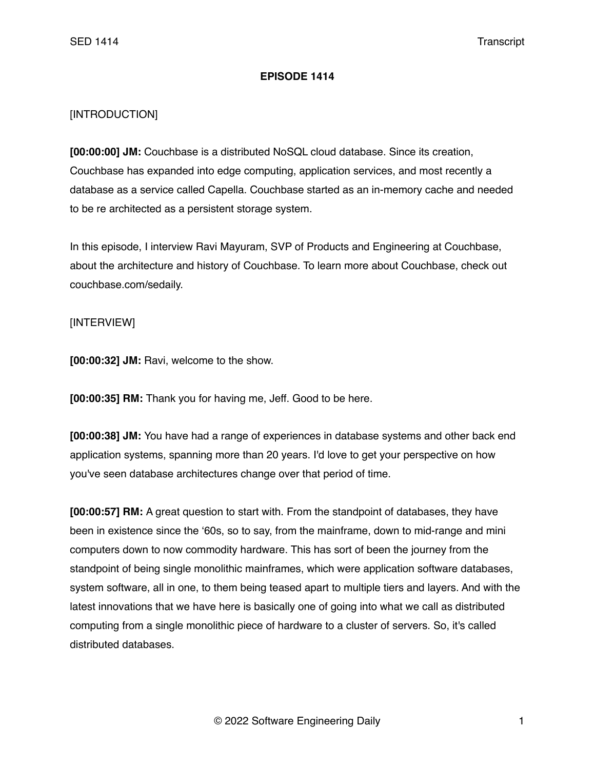## **EPISODE 1414**

## [INTRODUCTION]

**[00:00:00] JM:** Couchbase is a distributed NoSQL cloud database. Since its creation, Couchbase has expanded into edge computing, application services, and most recently a database as a service called Capella. Couchbase started as an in-memory cache and needed to be re architected as a persistent storage system.

In this episode, I interview Ravi Mayuram, SVP of Products and Engineering at Couchbase, about the architecture and history of Couchbase. To learn more about Couchbase, check out couchbase.com/sedaily.

## [INTERVIEW]

**[00:00:32] JM:** Ravi, welcome to the show.

**[00:00:35] RM:** Thank you for having me, Jeff. Good to be here.

**[00:00:38] JM:** You have had a range of experiences in database systems and other back end application systems, spanning more than 20 years. I'd love to get your perspective on how you've seen database architectures change over that period of time.

**[00:00:57] RM:** A great question to start with. From the standpoint of databases, they have been in existence since the '60s, so to say, from the mainframe, down to mid-range and mini computers down to now commodity hardware. This has sort of been the journey from the standpoint of being single monolithic mainframes, which were application software databases, system software, all in one, to them being teased apart to multiple tiers and layers. And with the latest innovations that we have here is basically one of going into what we call as distributed computing from a single monolithic piece of hardware to a cluster of servers. So, it's called distributed databases.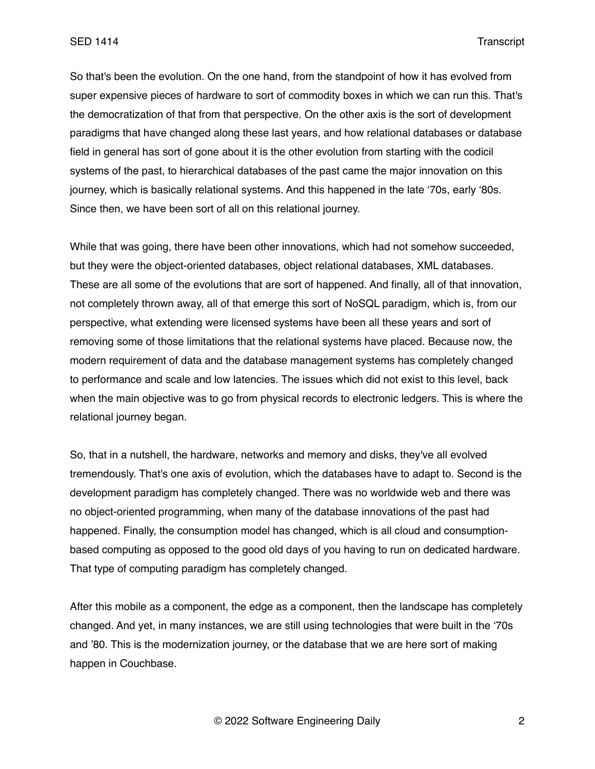So that's been the evolution. On the one hand, from the standpoint of how it has evolved from super expensive pieces of hardware to sort of commodity boxes in which we can run this. That's the democratization of that from that perspective. On the other axis is the sort of development paradigms that have changed along these last years, and how relational databases or database field in general has sort of gone about it is the other evolution from starting with the codicil systems of the past, to hierarchical databases of the past came the major innovation on this journey, which is basically relational systems. And this happened in the late '70s, early '80s. Since then, we have been sort of all on this relational journey.

While that was going, there have been other innovations, which had not somehow succeeded, but they were the object-oriented databases, object relational databases, XML databases. These are all some of the evolutions that are sort of happened. And finally, all of that innovation, not completely thrown away, all of that emerge this sort of NoSQL paradigm, which is, from our perspective, what extending were licensed systems have been all these years and sort of removing some of those limitations that the relational systems have placed. Because now, the modern requirement of data and the database management systems has completely changed to performance and scale and low latencies. The issues which did not exist to this level, back when the main objective was to go from physical records to electronic ledgers. This is where the relational journey began.

So, that in a nutshell, the hardware, networks and memory and disks, they've all evolved tremendously. That's one axis of evolution, which the databases have to adapt to. Second is the development paradigm has completely changed. There was no worldwide web and there was no object-oriented programming, when many of the database innovations of the past had happened. Finally, the consumption model has changed, which is all cloud and consumptionbased computing as opposed to the good old days of you having to run on dedicated hardware. That type of computing paradigm has completely changed.

After this mobile as a component, the edge as a component, then the landscape has completely changed. And yet, in many instances, we are still using technologies that were built in the '70s and '80. This is the modernization journey, or the database that we are here sort of making happen in Couchbase.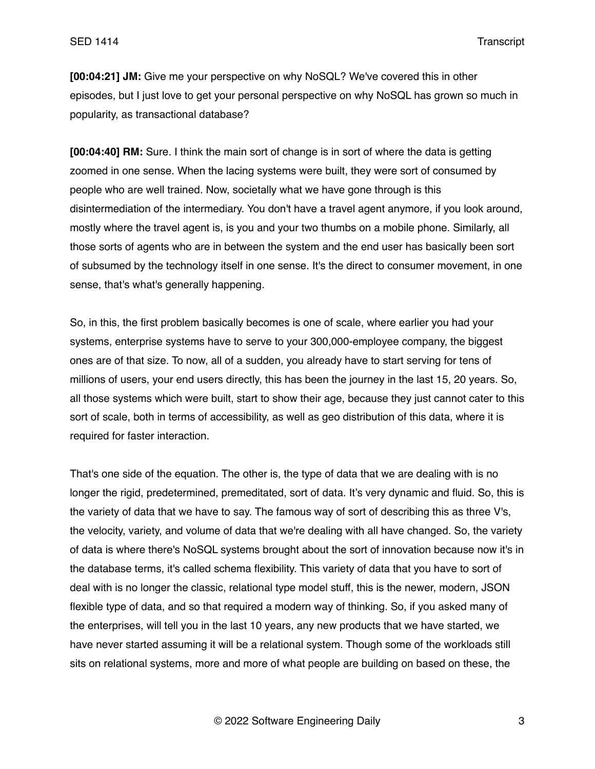**[00:04:21] JM:** Give me your perspective on why NoSQL? We've covered this in other episodes, but I just love to get your personal perspective on why NoSQL has grown so much in popularity, as transactional database?

**[00:04:40] RM:** Sure. I think the main sort of change is in sort of where the data is getting zoomed in one sense. When the lacing systems were built, they were sort of consumed by people who are well trained. Now, societally what we have gone through is this disintermediation of the intermediary. You don't have a travel agent anymore, if you look around, mostly where the travel agent is, is you and your two thumbs on a mobile phone. Similarly, all those sorts of agents who are in between the system and the end user has basically been sort of subsumed by the technology itself in one sense. It's the direct to consumer movement, in one sense, that's what's generally happening.

So, in this, the first problem basically becomes is one of scale, where earlier you had your systems, enterprise systems have to serve to your 300,000-employee company, the biggest ones are of that size. To now, all of a sudden, you already have to start serving for tens of millions of users, your end users directly, this has been the journey in the last 15, 20 years. So, all those systems which were built, start to show their age, because they just cannot cater to this sort of scale, both in terms of accessibility, as well as geo distribution of this data, where it is required for faster interaction.

That's one side of the equation. The other is, the type of data that we are dealing with is no longer the rigid, predetermined, premeditated, sort of data. It's very dynamic and fluid. So, this is the variety of data that we have to say. The famous way of sort of describing this as three V's, the velocity, variety, and volume of data that we're dealing with all have changed. So, the variety of data is where there's NoSQL systems brought about the sort of innovation because now it's in the database terms, it's called schema flexibility. This variety of data that you have to sort of deal with is no longer the classic, relational type model stuff, this is the newer, modern, JSON flexible type of data, and so that required a modern way of thinking. So, if you asked many of the enterprises, will tell you in the last 10 years, any new products that we have started, we have never started assuming it will be a relational system. Though some of the workloads still sits on relational systems, more and more of what people are building on based on these, the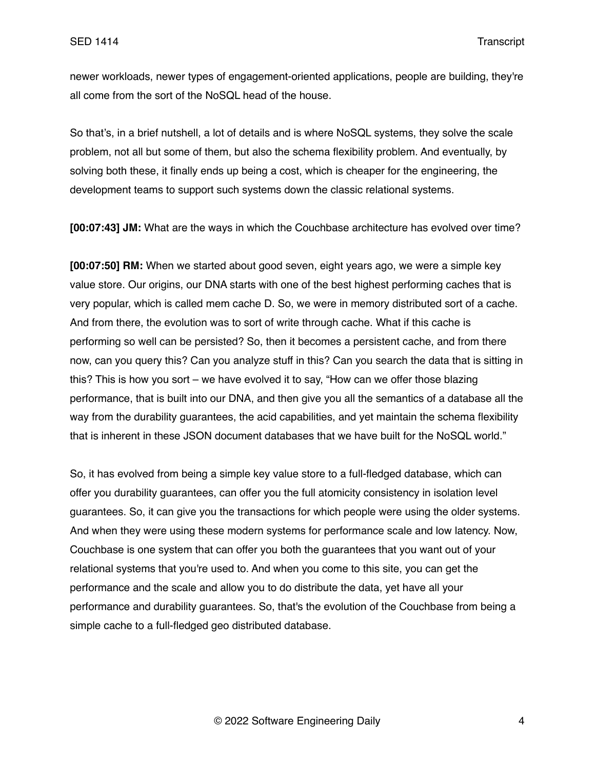newer workloads, newer types of engagement-oriented applications, people are building, they're all come from the sort of the NoSQL head of the house.

So that's, in a brief nutshell, a lot of details and is where NoSQL systems, they solve the scale problem, not all but some of them, but also the schema flexibility problem. And eventually, by solving both these, it finally ends up being a cost, which is cheaper for the engineering, the development teams to support such systems down the classic relational systems.

**[00:07:43] JM:** What are the ways in which the Couchbase architecture has evolved over time?

**[00:07:50] RM:** When we started about good seven, eight years ago, we were a simple key value store. Our origins, our DNA starts with one of the best highest performing caches that is very popular, which is called mem cache D. So, we were in memory distributed sort of a cache. And from there, the evolution was to sort of write through cache. What if this cache is performing so well can be persisted? So, then it becomes a persistent cache, and from there now, can you query this? Can you analyze stuff in this? Can you search the data that is sitting in this? This is how you sort – we have evolved it to say, "How can we offer those blazing performance, that is built into our DNA, and then give you all the semantics of a database all the way from the durability guarantees, the acid capabilities, and yet maintain the schema flexibility that is inherent in these JSON document databases that we have built for the NoSQL world."

So, it has evolved from being a simple key value store to a full-fledged database, which can offer you durability guarantees, can offer you the full atomicity consistency in isolation level guarantees. So, it can give you the transactions for which people were using the older systems. And when they were using these modern systems for performance scale and low latency. Now, Couchbase is one system that can offer you both the guarantees that you want out of your relational systems that you're used to. And when you come to this site, you can get the performance and the scale and allow you to do distribute the data, yet have all your performance and durability guarantees. So, that's the evolution of the Couchbase from being a simple cache to a full-fledged geo distributed database.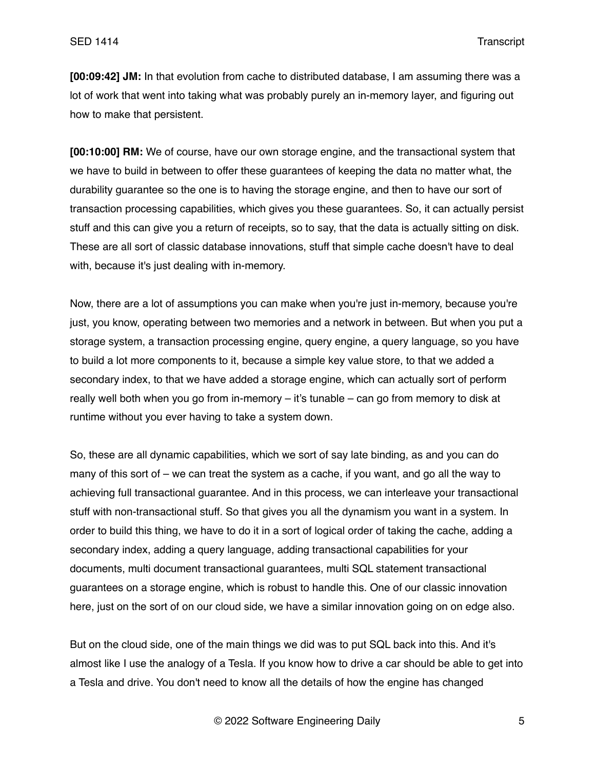**[00:09:42] JM:** In that evolution from cache to distributed database, I am assuming there was a lot of work that went into taking what was probably purely an in-memory layer, and figuring out how to make that persistent.

**[00:10:00] RM:** We of course, have our own storage engine, and the transactional system that we have to build in between to offer these guarantees of keeping the data no matter what, the durability guarantee so the one is to having the storage engine, and then to have our sort of transaction processing capabilities, which gives you these guarantees. So, it can actually persist stuff and this can give you a return of receipts, so to say, that the data is actually sitting on disk. These are all sort of classic database innovations, stuff that simple cache doesn't have to deal with, because it's just dealing with in-memory.

Now, there are a lot of assumptions you can make when you're just in-memory, because you're just, you know, operating between two memories and a network in between. But when you put a storage system, a transaction processing engine, query engine, a query language, so you have to build a lot more components to it, because a simple key value store, to that we added a secondary index, to that we have added a storage engine, which can actually sort of perform really well both when you go from in-memory – it's tunable – can go from memory to disk at runtime without you ever having to take a system down.

So, these are all dynamic capabilities, which we sort of say late binding, as and you can do many of this sort of – we can treat the system as a cache, if you want, and go all the way to achieving full transactional guarantee. And in this process, we can interleave your transactional stuff with non-transactional stuff. So that gives you all the dynamism you want in a system. In order to build this thing, we have to do it in a sort of logical order of taking the cache, adding a secondary index, adding a query language, adding transactional capabilities for your documents, multi document transactional guarantees, multi SQL statement transactional guarantees on a storage engine, which is robust to handle this. One of our classic innovation here, just on the sort of on our cloud side, we have a similar innovation going on on edge also.

But on the cloud side, one of the main things we did was to put SQL back into this. And it's almost like I use the analogy of a Tesla. If you know how to drive a car should be able to get into a Tesla and drive. You don't need to know all the details of how the engine has changed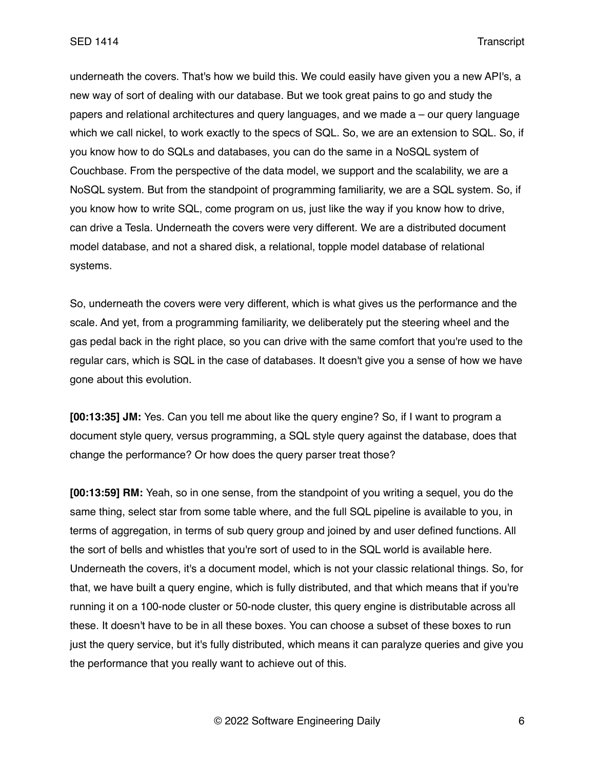underneath the covers. That's how we build this. We could easily have given you a new API's, a new way of sort of dealing with our database. But we took great pains to go and study the papers and relational architectures and query languages, and we made a – our query language which we call nickel, to work exactly to the specs of SQL. So, we are an extension to SQL. So, if you know how to do SQLs and databases, you can do the same in a NoSQL system of Couchbase. From the perspective of the data model, we support and the scalability, we are a NoSQL system. But from the standpoint of programming familiarity, we are a SQL system. So, if you know how to write SQL, come program on us, just like the way if you know how to drive, can drive a Tesla. Underneath the covers were very different. We are a distributed document model database, and not a shared disk, a relational, topple model database of relational systems.

So, underneath the covers were very different, which is what gives us the performance and the scale. And yet, from a programming familiarity, we deliberately put the steering wheel and the gas pedal back in the right place, so you can drive with the same comfort that you're used to the regular cars, which is SQL in the case of databases. It doesn't give you a sense of how we have gone about this evolution.

**[00:13:35] JM:** Yes. Can you tell me about like the query engine? So, if I want to program a document style query, versus programming, a SQL style query against the database, does that change the performance? Or how does the query parser treat those?

**[00:13:59] RM:** Yeah, so in one sense, from the standpoint of you writing a sequel, you do the same thing, select star from some table where, and the full SQL pipeline is available to you, in terms of aggregation, in terms of sub query group and joined by and user defined functions. All the sort of bells and whistles that you're sort of used to in the SQL world is available here. Underneath the covers, it's a document model, which is not your classic relational things. So, for that, we have built a query engine, which is fully distributed, and that which means that if you're running it on a 100-node cluster or 50-node cluster, this query engine is distributable across all these. It doesn't have to be in all these boxes. You can choose a subset of these boxes to run just the query service, but it's fully distributed, which means it can paralyze queries and give you the performance that you really want to achieve out of this.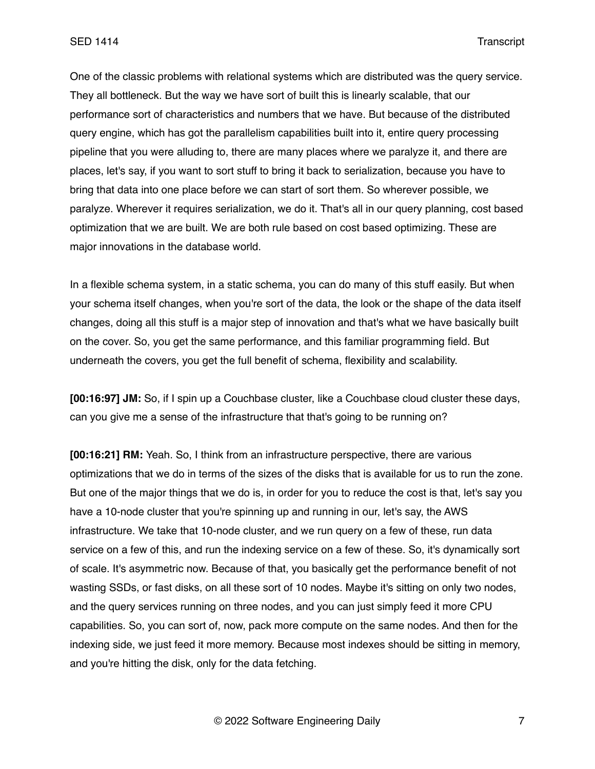One of the classic problems with relational systems which are distributed was the query service. They all bottleneck. But the way we have sort of built this is linearly scalable, that our performance sort of characteristics and numbers that we have. But because of the distributed query engine, which has got the parallelism capabilities built into it, entire query processing pipeline that you were alluding to, there are many places where we paralyze it, and there are places, let's say, if you want to sort stuff to bring it back to serialization, because you have to bring that data into one place before we can start of sort them. So wherever possible, we paralyze. Wherever it requires serialization, we do it. That's all in our query planning, cost based optimization that we are built. We are both rule based on cost based optimizing. These are major innovations in the database world.

In a flexible schema system, in a static schema, you can do many of this stuff easily. But when your schema itself changes, when you're sort of the data, the look or the shape of the data itself changes, doing all this stuff is a major step of innovation and that's what we have basically built on the cover. So, you get the same performance, and this familiar programming field. But underneath the covers, you get the full benefit of schema, flexibility and scalability.

**[00:16:97] JM:** So, if I spin up a Couchbase cluster, like a Couchbase cloud cluster these days, can you give me a sense of the infrastructure that that's going to be running on?

**[00:16:21] RM:** Yeah. So, I think from an infrastructure perspective, there are various optimizations that we do in terms of the sizes of the disks that is available for us to run the zone. But one of the major things that we do is, in order for you to reduce the cost is that, let's say you have a 10-node cluster that you're spinning up and running in our, let's say, the AWS infrastructure. We take that 10-node cluster, and we run query on a few of these, run data service on a few of this, and run the indexing service on a few of these. So, it's dynamically sort of scale. It's asymmetric now. Because of that, you basically get the performance benefit of not wasting SSDs, or fast disks, on all these sort of 10 nodes. Maybe it's sitting on only two nodes, and the query services running on three nodes, and you can just simply feed it more CPU capabilities. So, you can sort of, now, pack more compute on the same nodes. And then for the indexing side, we just feed it more memory. Because most indexes should be sitting in memory, and you're hitting the disk, only for the data fetching.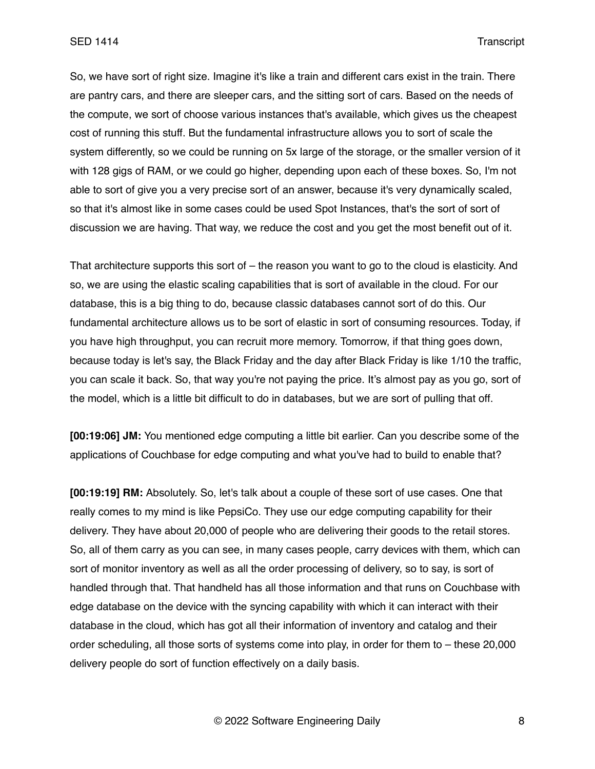So, we have sort of right size. Imagine it's like a train and different cars exist in the train. There are pantry cars, and there are sleeper cars, and the sitting sort of cars. Based on the needs of the compute, we sort of choose various instances that's available, which gives us the cheapest cost of running this stuff. But the fundamental infrastructure allows you to sort of scale the system differently, so we could be running on 5x large of the storage, or the smaller version of it with 128 gigs of RAM, or we could go higher, depending upon each of these boxes. So, I'm not able to sort of give you a very precise sort of an answer, because it's very dynamically scaled, so that it's almost like in some cases could be used Spot Instances, that's the sort of sort of discussion we are having. That way, we reduce the cost and you get the most benefit out of it.

That architecture supports this sort of – the reason you want to go to the cloud is elasticity. And so, we are using the elastic scaling capabilities that is sort of available in the cloud. For our database, this is a big thing to do, because classic databases cannot sort of do this. Our fundamental architecture allows us to be sort of elastic in sort of consuming resources. Today, if you have high throughput, you can recruit more memory. Tomorrow, if that thing goes down, because today is let's say, the Black Friday and the day after Black Friday is like 1/10 the traffic, you can scale it back. So, that way you're not paying the price. It's almost pay as you go, sort of the model, which is a little bit difficult to do in databases, but we are sort of pulling that off.

**[00:19:06] JM:** You mentioned edge computing a little bit earlier. Can you describe some of the applications of Couchbase for edge computing and what you've had to build to enable that?

**[00:19:19] RM:** Absolutely. So, let's talk about a couple of these sort of use cases. One that really comes to my mind is like PepsiCo. They use our edge computing capability for their delivery. They have about 20,000 of people who are delivering their goods to the retail stores. So, all of them carry as you can see, in many cases people, carry devices with them, which can sort of monitor inventory as well as all the order processing of delivery, so to say, is sort of handled through that. That handheld has all those information and that runs on Couchbase with edge database on the device with the syncing capability with which it can interact with their database in the cloud, which has got all their information of inventory and catalog and their order scheduling, all those sorts of systems come into play, in order for them to – these 20,000 delivery people do sort of function effectively on a daily basis.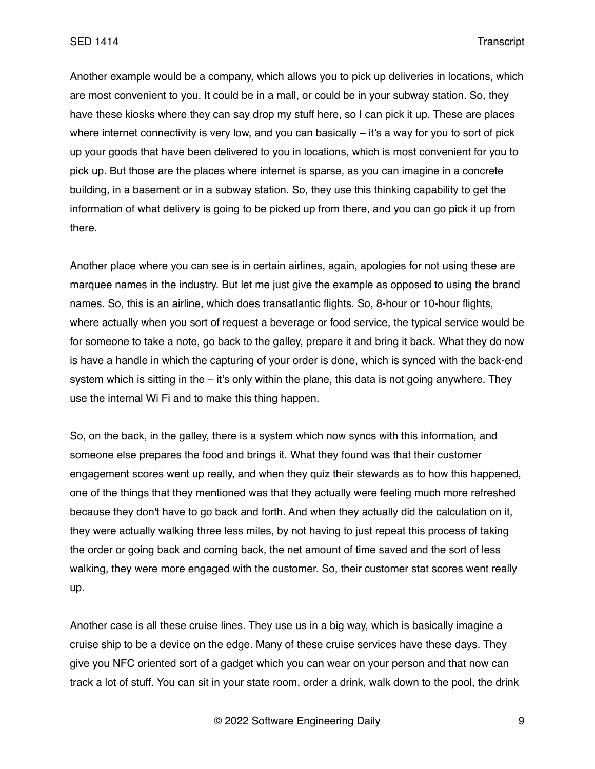Another example would be a company, which allows you to pick up deliveries in locations, which are most convenient to you. It could be in a mall, or could be in your subway station. So, they have these kiosks where they can say drop my stuff here, so I can pick it up. These are places where internet connectivity is very low, and you can basically  $-$  it's a way for you to sort of pick up your goods that have been delivered to you in locations, which is most convenient for you to pick up. But those are the places where internet is sparse, as you can imagine in a concrete building, in a basement or in a subway station. So, they use this thinking capability to get the information of what delivery is going to be picked up from there, and you can go pick it up from there.

Another place where you can see is in certain airlines, again, apologies for not using these are marquee names in the industry. But let me just give the example as opposed to using the brand names. So, this is an airline, which does transatlantic flights. So, 8-hour or 10-hour flights, where actually when you sort of request a beverage or food service, the typical service would be for someone to take a note, go back to the galley, prepare it and bring it back. What they do now is have a handle in which the capturing of your order is done, which is synced with the back-end system which is sitting in the  $-$  it's only within the plane, this data is not going anywhere. They use the internal Wi Fi and to make this thing happen.

So, on the back, in the galley, there is a system which now syncs with this information, and someone else prepares the food and brings it. What they found was that their customer engagement scores went up really, and when they quiz their stewards as to how this happened, one of the things that they mentioned was that they actually were feeling much more refreshed because they don't have to go back and forth. And when they actually did the calculation on it, they were actually walking three less miles, by not having to just repeat this process of taking the order or going back and coming back, the net amount of time saved and the sort of less walking, they were more engaged with the customer. So, their customer stat scores went really up.

Another case is all these cruise lines. They use us in a big way, which is basically imagine a cruise ship to be a device on the edge. Many of these cruise services have these days. They give you NFC oriented sort of a gadget which you can wear on your person and that now can track a lot of stuff. You can sit in your state room, order a drink, walk down to the pool, the drink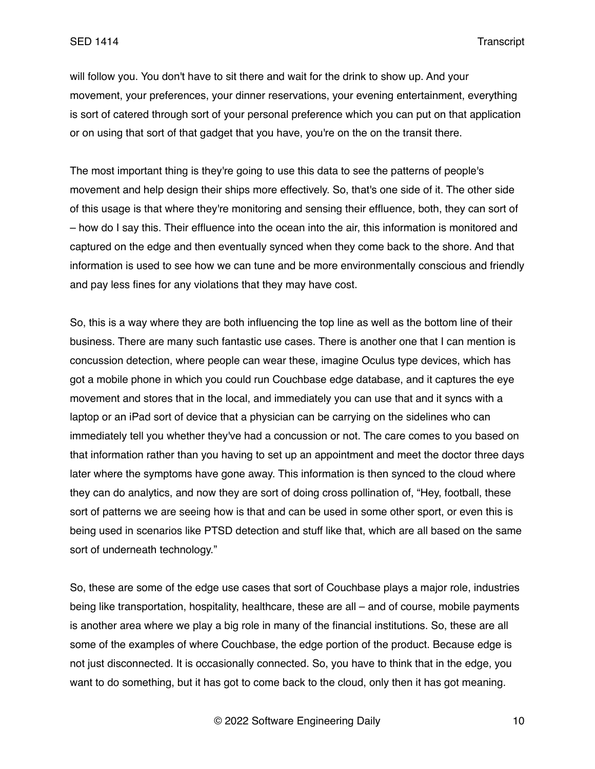will follow you. You don't have to sit there and wait for the drink to show up. And your movement, your preferences, your dinner reservations, your evening entertainment, everything is sort of catered through sort of your personal preference which you can put on that application or on using that sort of that gadget that you have, you're on the on the transit there.

The most important thing is they're going to use this data to see the patterns of people's movement and help design their ships more effectively. So, that's one side of it. The other side of this usage is that where they're monitoring and sensing their effluence, both, they can sort of – how do I say this. Their effluence into the ocean into the air, this information is monitored and captured on the edge and then eventually synced when they come back to the shore. And that information is used to see how we can tune and be more environmentally conscious and friendly and pay less fines for any violations that they may have cost.

So, this is a way where they are both influencing the top line as well as the bottom line of their business. There are many such fantastic use cases. There is another one that I can mention is concussion detection, where people can wear these, imagine Oculus type devices, which has got a mobile phone in which you could run Couchbase edge database, and it captures the eye movement and stores that in the local, and immediately you can use that and it syncs with a laptop or an iPad sort of device that a physician can be carrying on the sidelines who can immediately tell you whether they've had a concussion or not. The care comes to you based on that information rather than you having to set up an appointment and meet the doctor three days later where the symptoms have gone away. This information is then synced to the cloud where they can do analytics, and now they are sort of doing cross pollination of, "Hey, football, these sort of patterns we are seeing how is that and can be used in some other sport, or even this is being used in scenarios like PTSD detection and stuff like that, which are all based on the same sort of underneath technology."

So, these are some of the edge use cases that sort of Couchbase plays a major role, industries being like transportation, hospitality, healthcare, these are all – and of course, mobile payments is another area where we play a big role in many of the financial institutions. So, these are all some of the examples of where Couchbase, the edge portion of the product. Because edge is not just disconnected. It is occasionally connected. So, you have to think that in the edge, you want to do something, but it has got to come back to the cloud, only then it has got meaning.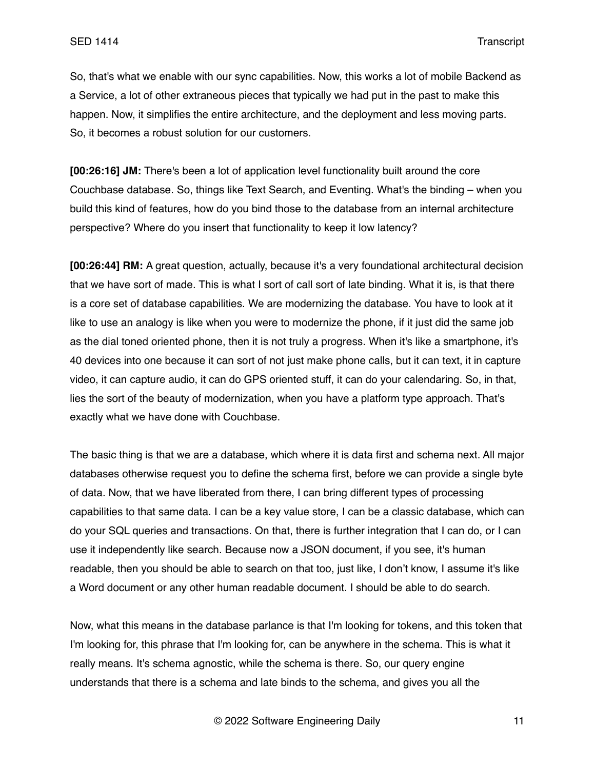So, that's what we enable with our sync capabilities. Now, this works a lot of mobile Backend as a Service, a lot of other extraneous pieces that typically we had put in the past to make this happen. Now, it simplifies the entire architecture, and the deployment and less moving parts. So, it becomes a robust solution for our customers.

**[00:26:16] JM:** There's been a lot of application level functionality built around the core Couchbase database. So, things like Text Search, and Eventing. What's the binding – when you build this kind of features, how do you bind those to the database from an internal architecture perspective? Where do you insert that functionality to keep it low latency?

**[00:26:44] RM:** A great question, actually, because it's a very foundational architectural decision that we have sort of made. This is what I sort of call sort of late binding. What it is, is that there is a core set of database capabilities. We are modernizing the database. You have to look at it like to use an analogy is like when you were to modernize the phone, if it just did the same job as the dial toned oriented phone, then it is not truly a progress. When it's like a smartphone, it's 40 devices into one because it can sort of not just make phone calls, but it can text, it in capture video, it can capture audio, it can do GPS oriented stuff, it can do your calendaring. So, in that, lies the sort of the beauty of modernization, when you have a platform type approach. That's exactly what we have done with Couchbase.

The basic thing is that we are a database, which where it is data first and schema next. All major databases otherwise request you to define the schema first, before we can provide a single byte of data. Now, that we have liberated from there, I can bring different types of processing capabilities to that same data. I can be a key value store, I can be a classic database, which can do your SQL queries and transactions. On that, there is further integration that I can do, or I can use it independently like search. Because now a JSON document, if you see, it's human readable, then you should be able to search on that too, just like, I don't know, I assume it's like a Word document or any other human readable document. I should be able to do search.

Now, what this means in the database parlance is that I'm looking for tokens, and this token that I'm looking for, this phrase that I'm looking for, can be anywhere in the schema. This is what it really means. It's schema agnostic, while the schema is there. So, our query engine understands that there is a schema and late binds to the schema, and gives you all the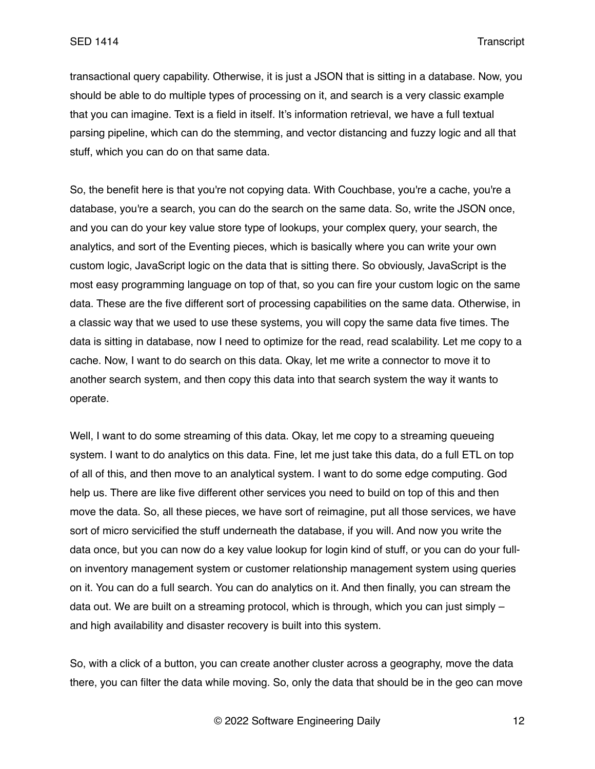transactional query capability. Otherwise, it is just a JSON that is sitting in a database. Now, you should be able to do multiple types of processing on it, and search is a very classic example that you can imagine. Text is a field in itself. It's information retrieval, we have a full textual parsing pipeline, which can do the stemming, and vector distancing and fuzzy logic and all that stuff, which you can do on that same data.

So, the benefit here is that you're not copying data. With Couchbase, you're a cache, you're a database, you're a search, you can do the search on the same data. So, write the JSON once, and you can do your key value store type of lookups, your complex query, your search, the analytics, and sort of the Eventing pieces, which is basically where you can write your own custom logic, JavaScript logic on the data that is sitting there. So obviously, JavaScript is the most easy programming language on top of that, so you can fire your custom logic on the same data. These are the five different sort of processing capabilities on the same data. Otherwise, in a classic way that we used to use these systems, you will copy the same data five times. The data is sitting in database, now I need to optimize for the read, read scalability. Let me copy to a cache. Now, I want to do search on this data. Okay, let me write a connector to move it to another search system, and then copy this data into that search system the way it wants to operate.

Well, I want to do some streaming of this data. Okay, let me copy to a streaming queueing system. I want to do analytics on this data. Fine, let me just take this data, do a full ETL on top of all of this, and then move to an analytical system. I want to do some edge computing. God help us. There are like five different other services you need to build on top of this and then move the data. So, all these pieces, we have sort of reimagine, put all those services, we have sort of micro servicified the stuff underneath the database, if you will. And now you write the data once, but you can now do a key value lookup for login kind of stuff, or you can do your fullon inventory management system or customer relationship management system using queries on it. You can do a full search. You can do analytics on it. And then finally, you can stream the data out. We are built on a streaming protocol, which is through, which you can just simply – and high availability and disaster recovery is built into this system.

So, with a click of a button, you can create another cluster across a geography, move the data there, you can filter the data while moving. So, only the data that should be in the geo can move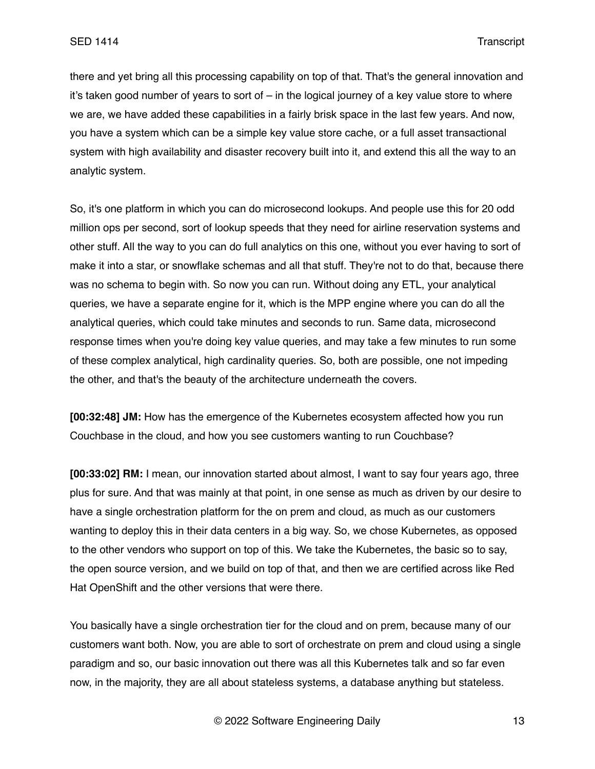there and yet bring all this processing capability on top of that. That's the general innovation and it's taken good number of years to sort of – in the logical journey of a key value store to where we are, we have added these capabilities in a fairly brisk space in the last few years. And now, you have a system which can be a simple key value store cache, or a full asset transactional system with high availability and disaster recovery built into it, and extend this all the way to an analytic system.

So, it's one platform in which you can do microsecond lookups. And people use this for 20 odd million ops per second, sort of lookup speeds that they need for airline reservation systems and other stuff. All the way to you can do full analytics on this one, without you ever having to sort of make it into a star, or snowflake schemas and all that stuff. They're not to do that, because there was no schema to begin with. So now you can run. Without doing any ETL, your analytical queries, we have a separate engine for it, which is the MPP engine where you can do all the analytical queries, which could take minutes and seconds to run. Same data, microsecond response times when you're doing key value queries, and may take a few minutes to run some of these complex analytical, high cardinality queries. So, both are possible, one not impeding the other, and that's the beauty of the architecture underneath the covers.

**[00:32:48] JM:** How has the emergence of the Kubernetes ecosystem affected how you run Couchbase in the cloud, and how you see customers wanting to run Couchbase?

**[00:33:02] RM:** I mean, our innovation started about almost, I want to say four years ago, three plus for sure. And that was mainly at that point, in one sense as much as driven by our desire to have a single orchestration platform for the on prem and cloud, as much as our customers wanting to deploy this in their data centers in a big way. So, we chose Kubernetes, as opposed to the other vendors who support on top of this. We take the Kubernetes, the basic so to say, the open source version, and we build on top of that, and then we are certified across like Red Hat OpenShift and the other versions that were there.

You basically have a single orchestration tier for the cloud and on prem, because many of our customers want both. Now, you are able to sort of orchestrate on prem and cloud using a single paradigm and so, our basic innovation out there was all this Kubernetes talk and so far even now, in the majority, they are all about stateless systems, a database anything but stateless.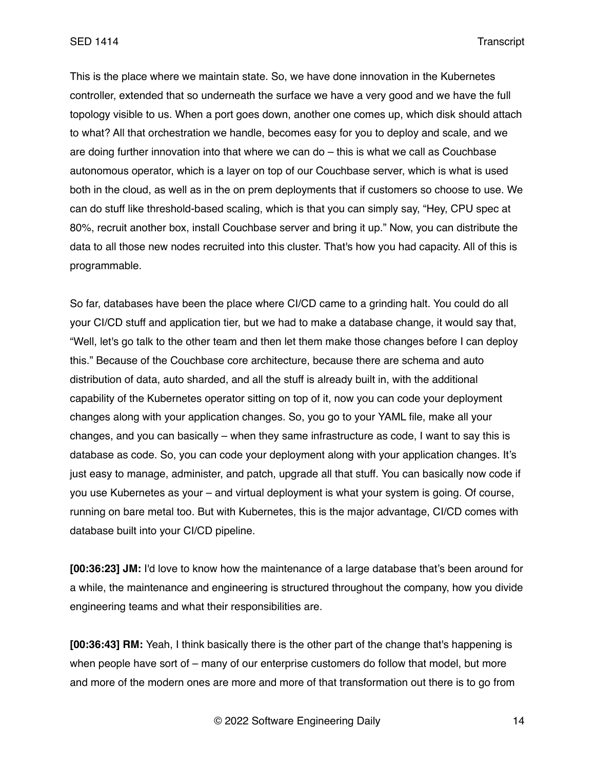This is the place where we maintain state. So, we have done innovation in the Kubernetes controller, extended that so underneath the surface we have a very good and we have the full topology visible to us. When a port goes down, another one comes up, which disk should attach to what? All that orchestration we handle, becomes easy for you to deploy and scale, and we are doing further innovation into that where we can do – this is what we call as Couchbase autonomous operator, which is a layer on top of our Couchbase server, which is what is used both in the cloud, as well as in the on prem deployments that if customers so choose to use. We can do stuff like threshold-based scaling, which is that you can simply say, "Hey, CPU spec at 80%, recruit another box, install Couchbase server and bring it up." Now, you can distribute the data to all those new nodes recruited into this cluster. That's how you had capacity. All of this is programmable.

So far, databases have been the place where CI/CD came to a grinding halt. You could do all your CI/CD stuff and application tier, but we had to make a database change, it would say that, "Well, let's go talk to the other team and then let them make those changes before I can deploy this." Because of the Couchbase core architecture, because there are schema and auto distribution of data, auto sharded, and all the stuff is already built in, with the additional capability of the Kubernetes operator sitting on top of it, now you can code your deployment changes along with your application changes. So, you go to your YAML file, make all your changes, and you can basically – when they same infrastructure as code, I want to say this is database as code. So, you can code your deployment along with your application changes. It's just easy to manage, administer, and patch, upgrade all that stuff. You can basically now code if you use Kubernetes as your – and virtual deployment is what your system is going. Of course, running on bare metal too. But with Kubernetes, this is the major advantage, CI/CD comes with database built into your CI/CD pipeline.

**[00:36:23] JM:** I'd love to know how the maintenance of a large database that's been around for a while, the maintenance and engineering is structured throughout the company, how you divide engineering teams and what their responsibilities are.

**[00:36:43] RM:** Yeah, I think basically there is the other part of the change that's happening is when people have sort of – many of our enterprise customers do follow that model, but more and more of the modern ones are more and more of that transformation out there is to go from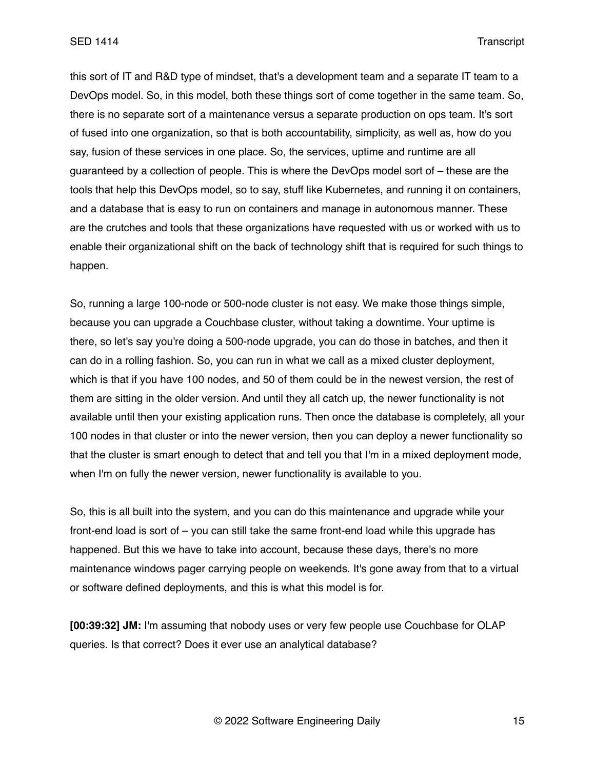this sort of IT and R&D type of mindset, that's a development team and a separate IT team to a DevOps model. So, in this model, both these things sort of come together in the same team. So, there is no separate sort of a maintenance versus a separate production on ops team. It's sort of fused into one organization, so that is both accountability, simplicity, as well as, how do you say, fusion of these services in one place. So, the services, uptime and runtime are all guaranteed by a collection of people. This is where the DevOps model sort of – these are the tools that help this DevOps model, so to say, stuff like Kubernetes, and running it on containers, and a database that is easy to run on containers and manage in autonomous manner. These are the crutches and tools that these organizations have requested with us or worked with us to enable their organizational shift on the back of technology shift that is required for such things to happen.

So, running a large 100-node or 500-node cluster is not easy. We make those things simple, because you can upgrade a Couchbase cluster, without taking a downtime. Your uptime is there, so let's say you're doing a 500-node upgrade, you can do those in batches, and then it can do in a rolling fashion. So, you can run in what we call as a mixed cluster deployment, which is that if you have 100 nodes, and 50 of them could be in the newest version, the rest of them are sitting in the older version. And until they all catch up, the newer functionality is not available until then your existing application runs. Then once the database is completely, all your 100 nodes in that cluster or into the newer version, then you can deploy a newer functionality so that the cluster is smart enough to detect that and tell you that I'm in a mixed deployment mode, when I'm on fully the newer version, newer functionality is available to you.

So, this is all built into the system, and you can do this maintenance and upgrade while your front-end load is sort of – you can still take the same front-end load while this upgrade has happened. But this we have to take into account, because these days, there's no more maintenance windows pager carrying people on weekends. It's gone away from that to a virtual or software defined deployments, and this is what this model is for.

**[00:39:32] JM:** I'm assuming that nobody uses or very few people use Couchbase for OLAP queries. Is that correct? Does it ever use an analytical database?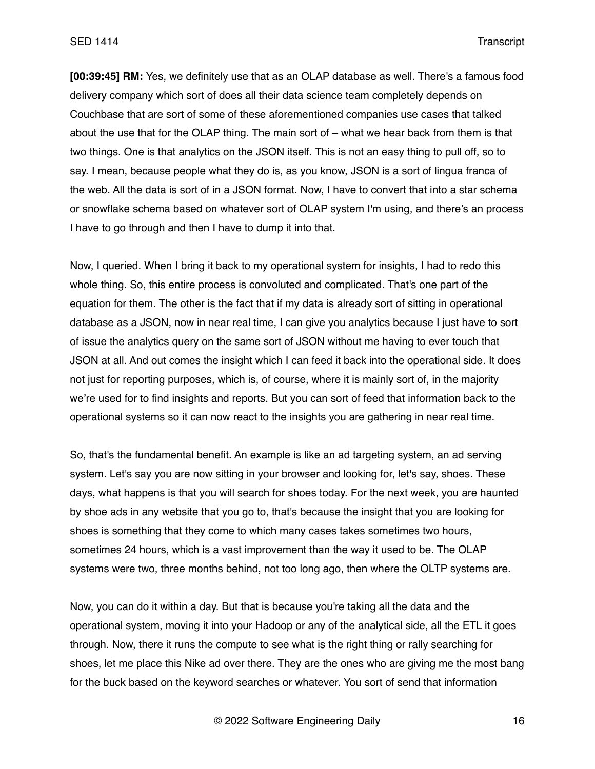SED 1414 Transcript

**[00:39:45] RM:** Yes, we definitely use that as an OLAP database as well. There's a famous food delivery company which sort of does all their data science team completely depends on Couchbase that are sort of some of these aforementioned companies use cases that talked about the use that for the OLAP thing. The main sort of – what we hear back from them is that two things. One is that analytics on the JSON itself. This is not an easy thing to pull off, so to say. I mean, because people what they do is, as you know, JSON is a sort of lingua franca of the web. All the data is sort of in a JSON format. Now, I have to convert that into a star schema or snowflake schema based on whatever sort of OLAP system I'm using, and there's an process I have to go through and then I have to dump it into that.

Now, I queried. When I bring it back to my operational system for insights, I had to redo this whole thing. So, this entire process is convoluted and complicated. That's one part of the equation for them. The other is the fact that if my data is already sort of sitting in operational database as a JSON, now in near real time, I can give you analytics because I just have to sort of issue the analytics query on the same sort of JSON without me having to ever touch that JSON at all. And out comes the insight which I can feed it back into the operational side. It does not just for reporting purposes, which is, of course, where it is mainly sort of, in the majority we're used for to find insights and reports. But you can sort of feed that information back to the operational systems so it can now react to the insights you are gathering in near real time.

So, that's the fundamental benefit. An example is like an ad targeting system, an ad serving system. Let's say you are now sitting in your browser and looking for, let's say, shoes. These days, what happens is that you will search for shoes today. For the next week, you are haunted by shoe ads in any website that you go to, that's because the insight that you are looking for shoes is something that they come to which many cases takes sometimes two hours, sometimes 24 hours, which is a vast improvement than the way it used to be. The OLAP systems were two, three months behind, not too long ago, then where the OLTP systems are.

Now, you can do it within a day. But that is because you're taking all the data and the operational system, moving it into your Hadoop or any of the analytical side, all the ETL it goes through. Now, there it runs the compute to see what is the right thing or rally searching for shoes, let me place this Nike ad over there. They are the ones who are giving me the most bang for the buck based on the keyword searches or whatever. You sort of send that information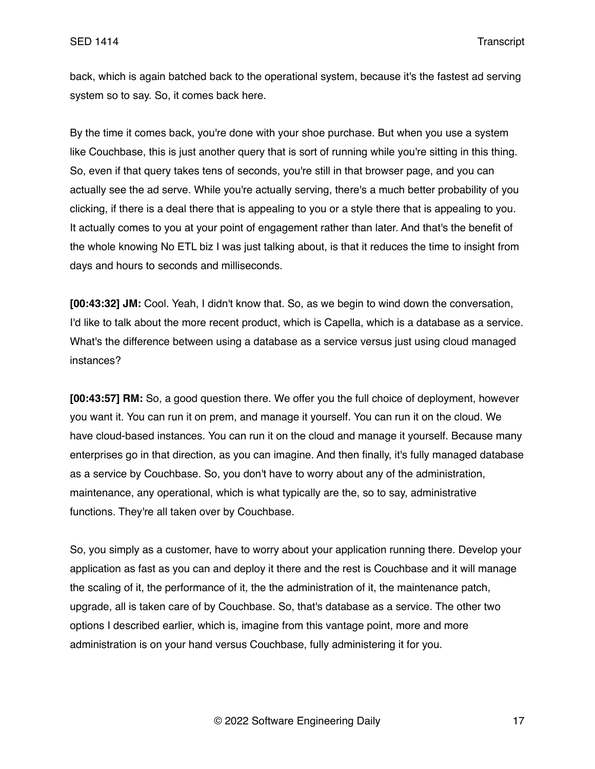back, which is again batched back to the operational system, because it's the fastest ad serving system so to say. So, it comes back here.

By the time it comes back, you're done with your shoe purchase. But when you use a system like Couchbase, this is just another query that is sort of running while you're sitting in this thing. So, even if that query takes tens of seconds, you're still in that browser page, and you can actually see the ad serve. While you're actually serving, there's a much better probability of you clicking, if there is a deal there that is appealing to you or a style there that is appealing to you. It actually comes to you at your point of engagement rather than later. And that's the benefit of the whole knowing No ETL biz I was just talking about, is that it reduces the time to insight from days and hours to seconds and milliseconds.

**[00:43:32] JM:** Cool. Yeah, I didn't know that. So, as we begin to wind down the conversation, I'd like to talk about the more recent product, which is Capella, which is a database as a service. What's the difference between using a database as a service versus just using cloud managed instances?

**[00:43:57] RM:** So, a good question there. We offer you the full choice of deployment, however you want it. You can run it on prem, and manage it yourself. You can run it on the cloud. We have cloud-based instances. You can run it on the cloud and manage it yourself. Because many enterprises go in that direction, as you can imagine. And then finally, it's fully managed database as a service by Couchbase. So, you don't have to worry about any of the administration, maintenance, any operational, which is what typically are the, so to say, administrative functions. They're all taken over by Couchbase.

So, you simply as a customer, have to worry about your application running there. Develop your application as fast as you can and deploy it there and the rest is Couchbase and it will manage the scaling of it, the performance of it, the the administration of it, the maintenance patch, upgrade, all is taken care of by Couchbase. So, that's database as a service. The other two options I described earlier, which is, imagine from this vantage point, more and more administration is on your hand versus Couchbase, fully administering it for you.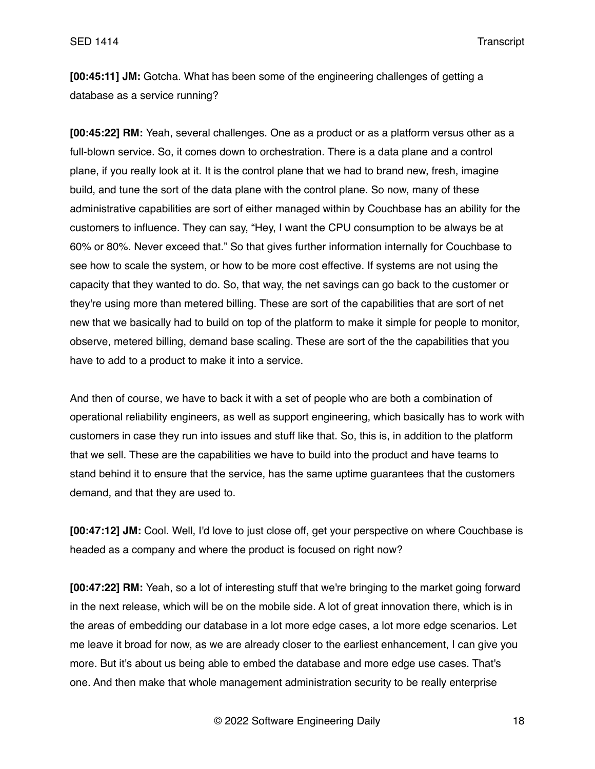**[00:45:11] JM:** Gotcha. What has been some of the engineering challenges of getting a database as a service running?

**[00:45:22] RM:** Yeah, several challenges. One as a product or as a platform versus other as a full-blown service. So, it comes down to orchestration. There is a data plane and a control plane, if you really look at it. It is the control plane that we had to brand new, fresh, imagine build, and tune the sort of the data plane with the control plane. So now, many of these administrative capabilities are sort of either managed within by Couchbase has an ability for the customers to influence. They can say, "Hey, I want the CPU consumption to be always be at 60% or 80%. Never exceed that." So that gives further information internally for Couchbase to see how to scale the system, or how to be more cost effective. If systems are not using the capacity that they wanted to do. So, that way, the net savings can go back to the customer or they're using more than metered billing. These are sort of the capabilities that are sort of net new that we basically had to build on top of the platform to make it simple for people to monitor, observe, metered billing, demand base scaling. These are sort of the the capabilities that you have to add to a product to make it into a service.

And then of course, we have to back it with a set of people who are both a combination of operational reliability engineers, as well as support engineering, which basically has to work with customers in case they run into issues and stuff like that. So, this is, in addition to the platform that we sell. These are the capabilities we have to build into the product and have teams to stand behind it to ensure that the service, has the same uptime guarantees that the customers demand, and that they are used to.

**[00:47:12] JM:** Cool. Well, I'd love to just close off, get your perspective on where Couchbase is headed as a company and where the product is focused on right now?

**[00:47:22] RM:** Yeah, so a lot of interesting stuff that we're bringing to the market going forward in the next release, which will be on the mobile side. A lot of great innovation there, which is in the areas of embedding our database in a lot more edge cases, a lot more edge scenarios. Let me leave it broad for now, as we are already closer to the earliest enhancement, I can give you more. But it's about us being able to embed the database and more edge use cases. That's one. And then make that whole management administration security to be really enterprise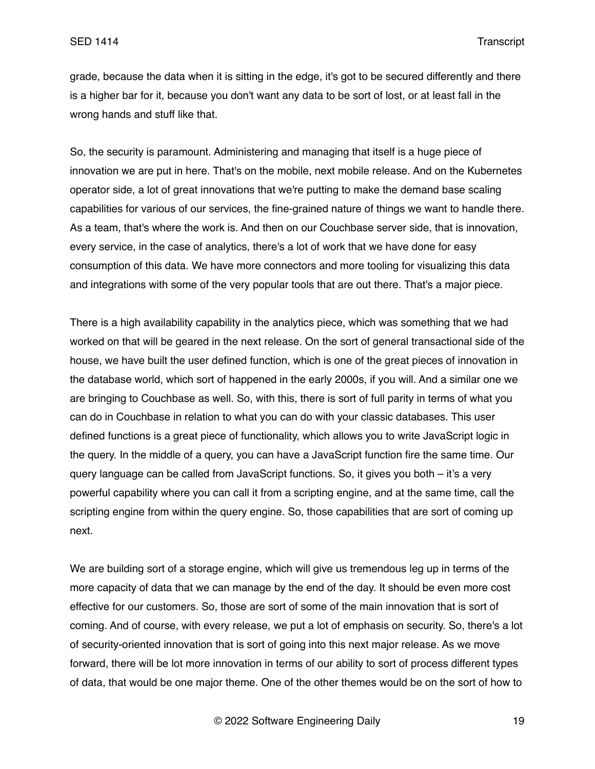grade, because the data when it is sitting in the edge, it's got to be secured differently and there is a higher bar for it, because you don't want any data to be sort of lost, or at least fall in the wrong hands and stuff like that.

So, the security is paramount. Administering and managing that itself is a huge piece of innovation we are put in here. That's on the mobile, next mobile release. And on the Kubernetes operator side, a lot of great innovations that we're putting to make the demand base scaling capabilities for various of our services, the fine-grained nature of things we want to handle there. As a team, that's where the work is. And then on our Couchbase server side, that is innovation, every service, in the case of analytics, there's a lot of work that we have done for easy consumption of this data. We have more connectors and more tooling for visualizing this data and integrations with some of the very popular tools that are out there. That's a major piece.

There is a high availability capability in the analytics piece, which was something that we had worked on that will be geared in the next release. On the sort of general transactional side of the house, we have built the user defined function, which is one of the great pieces of innovation in the database world, which sort of happened in the early 2000s, if you will. And a similar one we are bringing to Couchbase as well. So, with this, there is sort of full parity in terms of what you can do in Couchbase in relation to what you can do with your classic databases. This user defined functions is a great piece of functionality, which allows you to write JavaScript logic in the query. In the middle of a query, you can have a JavaScript function fire the same time. Our query language can be called from JavaScript functions. So, it gives you both – it's a very powerful capability where you can call it from a scripting engine, and at the same time, call the scripting engine from within the query engine. So, those capabilities that are sort of coming up next.

We are building sort of a storage engine, which will give us tremendous leg up in terms of the more capacity of data that we can manage by the end of the day. It should be even more cost effective for our customers. So, those are sort of some of the main innovation that is sort of coming. And of course, with every release, we put a lot of emphasis on security. So, there's a lot of security-oriented innovation that is sort of going into this next major release. As we move forward, there will be lot more innovation in terms of our ability to sort of process different types of data, that would be one major theme. One of the other themes would be on the sort of how to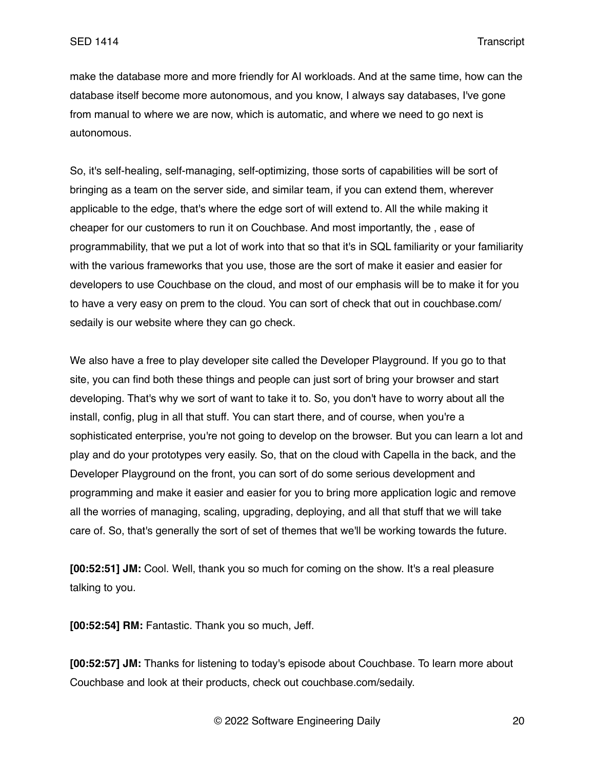make the database more and more friendly for AI workloads. And at the same time, how can the database itself become more autonomous, and you know, I always say databases, I've gone from manual to where we are now, which is automatic, and where we need to go next is autonomous.

So, it's self-healing, self-managing, self-optimizing, those sorts of capabilities will be sort of bringing as a team on the server side, and similar team, if you can extend them, wherever applicable to the edge, that's where the edge sort of will extend to. All the while making it cheaper for our customers to run it on Couchbase. And most importantly, the , ease of programmability, that we put a lot of work into that so that it's in SQL familiarity or your familiarity with the various frameworks that you use, those are the sort of make it easier and easier for developers to use Couchbase on the cloud, and most of our emphasis will be to make it for you to have a very easy on prem to the cloud. You can sort of check that out in couchbase.com/ sedaily is our website where they can go check.

We also have a free to play developer site called the Developer Playground. If you go to that site, you can find both these things and people can just sort of bring your browser and start developing. That's why we sort of want to take it to. So, you don't have to worry about all the install, config, plug in all that stuff. You can start there, and of course, when you're a sophisticated enterprise, you're not going to develop on the browser. But you can learn a lot and play and do your prototypes very easily. So, that on the cloud with Capella in the back, and the Developer Playground on the front, you can sort of do some serious development and programming and make it easier and easier for you to bring more application logic and remove all the worries of managing, scaling, upgrading, deploying, and all that stuff that we will take care of. So, that's generally the sort of set of themes that we'll be working towards the future.

**[00:52:51] JM:** Cool. Well, thank you so much for coming on the show. It's a real pleasure talking to you.

**[00:52:54] RM:** Fantastic. Thank you so much, Jeff.

**[00:52:57] JM:** Thanks for listening to today's episode about Couchbase. To learn more about Couchbase and look at their products, check out couchbase.com/sedaily.

© 2022 Software Engineering Daily 20